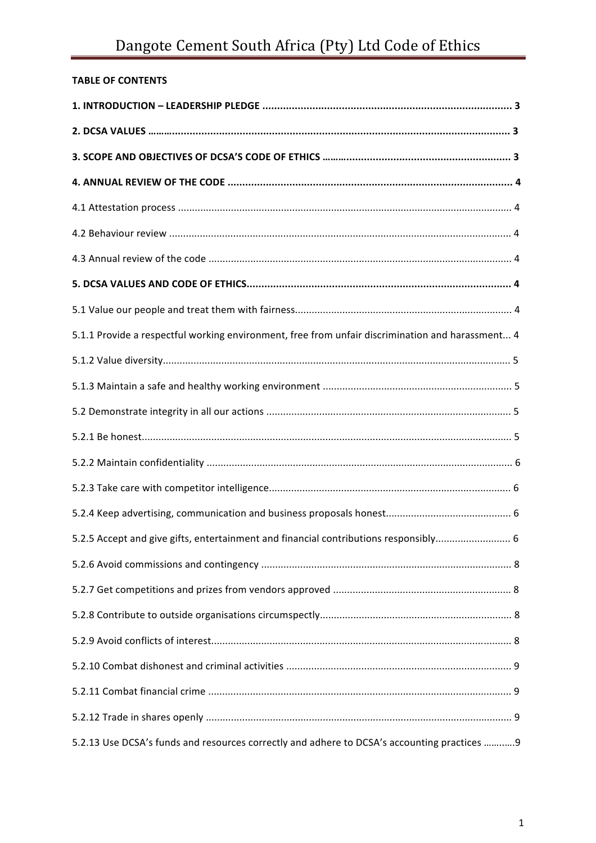# Dangote Cement South Africa (Pty) Ltd Code of Ethics

# **TABLE OF CONTENTS**

| 5.1.1 Provide a respectful working environment, free from unfair discrimination and harassment 4 |
|--------------------------------------------------------------------------------------------------|
|                                                                                                  |
|                                                                                                  |
|                                                                                                  |
|                                                                                                  |
|                                                                                                  |
|                                                                                                  |
|                                                                                                  |
| 5.2.5 Accept and give gifts, entertainment and financial contributions responsibly 6             |
|                                                                                                  |
|                                                                                                  |
|                                                                                                  |
|                                                                                                  |
|                                                                                                  |
|                                                                                                  |
|                                                                                                  |
| 5.2.13 Use DCSA's funds and resources correctly and adhere to DCSA's accounting practices 9      |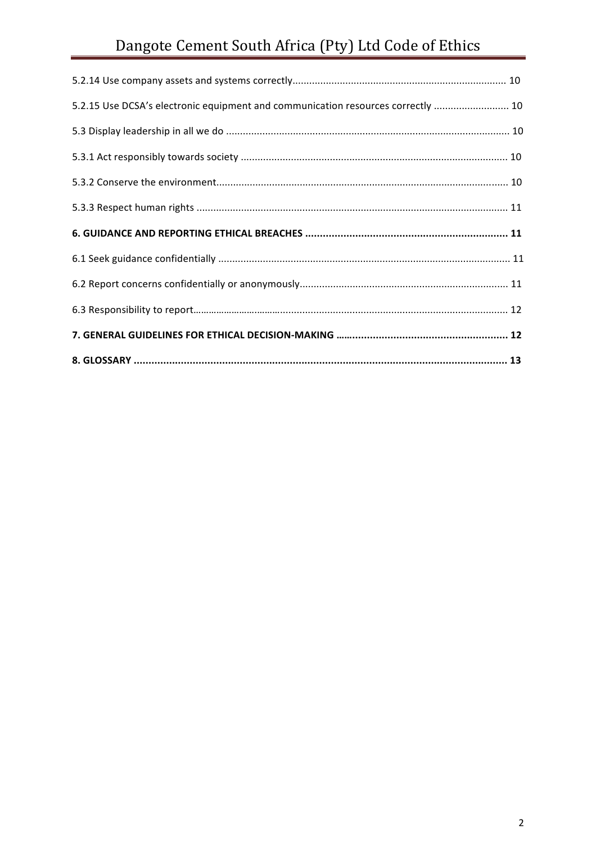# Dangote Cement South Africa (Pty) Ltd Code of Ethics

| 5.2.15 Use DCSA's electronic equipment and communication resources correctly  10 |  |
|----------------------------------------------------------------------------------|--|
|                                                                                  |  |
|                                                                                  |  |
|                                                                                  |  |
|                                                                                  |  |
|                                                                                  |  |
|                                                                                  |  |
|                                                                                  |  |
|                                                                                  |  |
|                                                                                  |  |
|                                                                                  |  |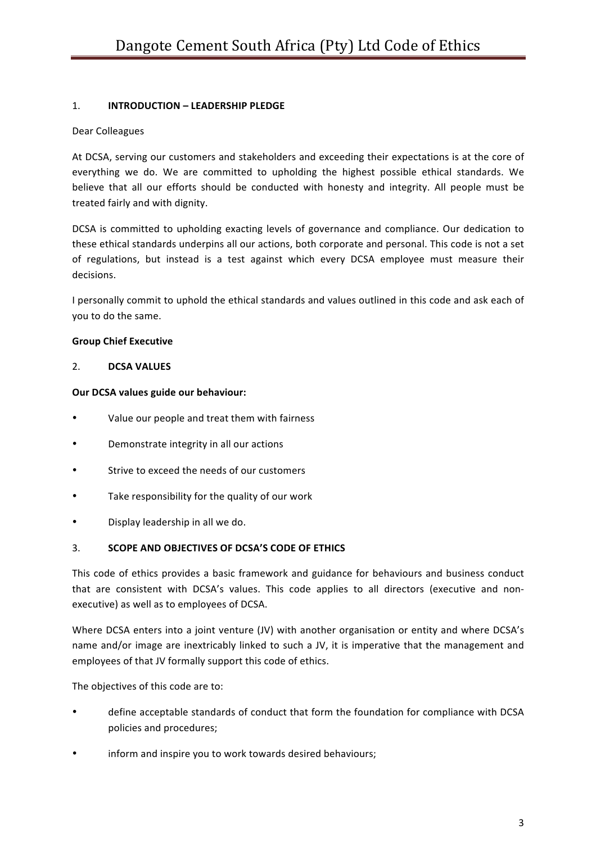# 1. **INTRODUCTION – LEADERSHIP PLEDGE**

# Dear Colleagues

At DCSA, serving our customers and stakeholders and exceeding their expectations is at the core of everything we do. We are committed to upholding the highest possible ethical standards. We believe that all our efforts should be conducted with honesty and integrity. All people must be treated fairly and with dignity.

DCSA is committed to upholding exacting levels of governance and compliance. Our dedication to these ethical standards underpins all our actions, both corporate and personal. This code is not a set of regulations, but instead is a test against which every DCSA employee must measure their decisions. 

I personally commit to uphold the ethical standards and values outlined in this code and ask each of you to do the same.

# **Group Chief Executive**

#### 2. **DCSA VALUES**

#### **Our DCSA values guide our behaviour:**

- Value our people and treat them with fairness
- Demonstrate integrity in all our actions
- Strive to exceed the needs of our customers
- Take responsibility for the quality of our work
- Display leadership in all we do.

#### 3. **SCOPE AND OBJECTIVES OF DCSA'S CODE OF ETHICS**

This code of ethics provides a basic framework and guidance for behaviours and business conduct that are consistent with DCSA's values. This code applies to all directors (executive and nonexecutive) as well as to employees of DCSA.

Where DCSA enters into a joint venture (JV) with another organisation or entity and where DCSA's name and/or image are inextricably linked to such a JV, it is imperative that the management and employees of that JV formally support this code of ethics.

The objectives of this code are to:

- define acceptable standards of conduct that form the foundation for compliance with DCSA policies and procedures;
- inform and inspire you to work towards desired behaviours;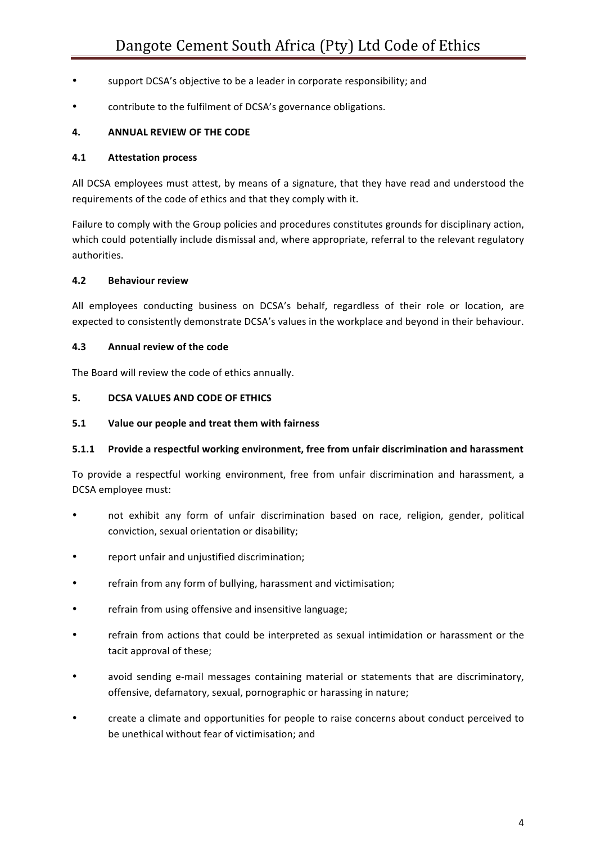- support DCSA's objective to be a leader in corporate responsibility; and
- contribute to the fulfilment of DCSA's governance obligations.

#### **4. ANNUAL REVIEW OF THE CODE**

#### **4.1 Attestation process**

All DCSA employees must attest, by means of a signature, that they have read and understood the requirements of the code of ethics and that they comply with it.

Failure to comply with the Group policies and procedures constitutes grounds for disciplinary action, which could potentially include dismissal and, where appropriate, referral to the relevant regulatory authorities. 

#### **4.2 Behaviour review**

All employees conducting business on DCSA's behalf, regardless of their role or location, are expected to consistently demonstrate DCSA's values in the workplace and beyond in their behaviour.

#### **4.3 Annual review of the code**

The Board will review the code of ethics annually.

#### **5. DCSA VALUES AND CODE OF ETHICS**

#### **5.1** Value our people and treat them with fairness

#### **5.1.1** Provide a respectful working environment, free from unfair discrimination and harassment

To provide a respectful working environment, free from unfair discrimination and harassment, a DCSA employee must:

- not exhibit any form of unfair discrimination based on race, religion, gender, political conviction, sexual orientation or disability;
- report unfair and unjustified discrimination;
- refrain from any form of bullying, harassment and victimisation;
- refrain from using offensive and insensitive language;
- refrain from actions that could be interpreted as sexual intimidation or harassment or the tacit approval of these;
- avoid sending e-mail messages containing material or statements that are discriminatory, offensive, defamatory, sexual, pornographic or harassing in nature;
- create a climate and opportunities for people to raise concerns about conduct perceived to be unethical without fear of victimisation; and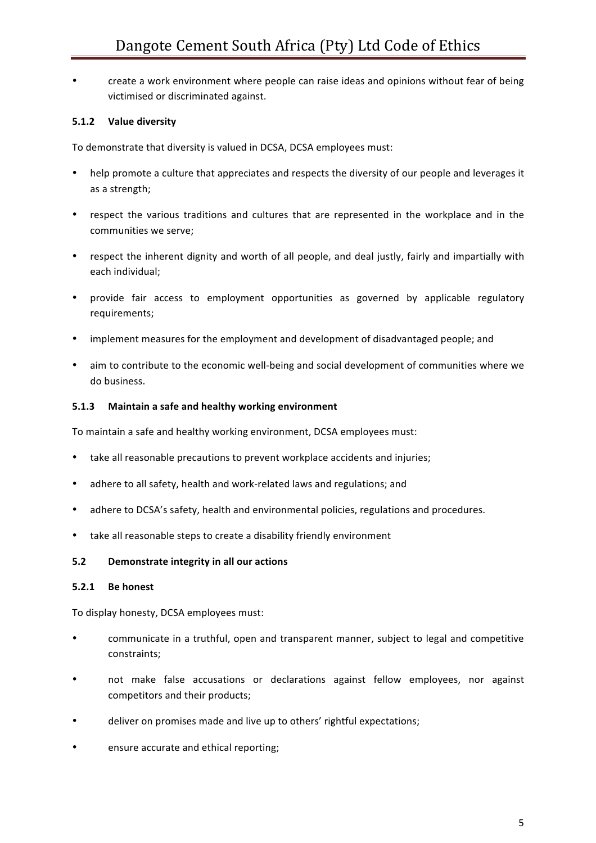• create a work environment where people can raise ideas and opinions without fear of being victimised or discriminated against.

# **5.1.2 Value diversity**

To demonstrate that diversity is valued in DCSA, DCSA employees must:

- help promote a culture that appreciates and respects the diversity of our people and leverages it as a strength;
- respect the various traditions and cultures that are represented in the workplace and in the communities we serve;
- respect the inherent dignity and worth of all people, and deal justly, fairly and impartially with each individual;
- provide fair access to employment opportunities as governed by applicable regulatory requirements;
- implement measures for the employment and development of disadvantaged people; and
- aim to contribute to the economic well-being and social development of communities where we do business.

#### **5.1.3** Maintain a safe and healthy working environment

To maintain a safe and healthy working environment, DCSA employees must:

- take all reasonable precautions to prevent workplace accidents and injuries;
- adhere to all safety, health and work-related laws and regulations; and
- adhere to DCSA's safety, health and environmental policies, regulations and procedures.
- take all reasonable steps to create a disability friendly environment

#### **5.2 Demonstrate integrity in all our actions**

#### **5.2.1 Be** honest

To display honesty, DCSA employees must:

- communicate in a truthful, open and transparent manner, subject to legal and competitive constraints;
- not make false accusations or declarations against fellow employees, nor against competitors and their products;
- deliver on promises made and live up to others' rightful expectations;
- ensure accurate and ethical reporting;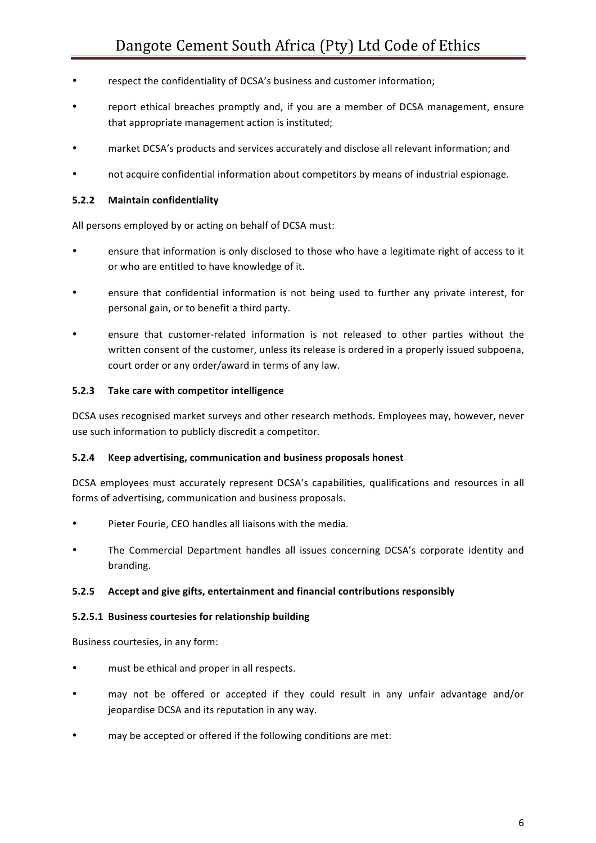- respect the confidentiality of DCSA's business and customer information;
- report ethical breaches promptly and, if you are a member of DCSA management, ensure that appropriate management action is instituted;
- market DCSA's products and services accurately and disclose all relevant information; and
- not acquire confidential information about competitors by means of industrial espionage.

#### **5.2.2 Maintain confidentiality**

All persons employed by or acting on behalf of DCSA must:

- ensure that information is only disclosed to those who have a legitimate right of access to it or who are entitled to have knowledge of it.
- ensure that confidential information is not being used to further any private interest, for personal gain, or to benefit a third party.
- ensure that customer-related information is not released to other parties without the written consent of the customer, unless its release is ordered in a properly issued subpoena, court order or any order/award in terms of any law.

#### **5.2.3** Take care with competitor intelligence

DCSA uses recognised market surveys and other research methods. Employees may, however, never use such information to publicly discredit a competitor.

#### **5.2.4** Keep advertising, communication and business proposals honest

DCSA employees must accurately represent DCSA's capabilities, qualifications and resources in all forms of advertising, communication and business proposals.

- Pieter Fourie, CEO handles all liaisons with the media.
- The Commercial Department handles all issues concerning DCSA's corporate identity and branding.

#### **5.2.5** Accept and give gifts, entertainment and financial contributions responsibly

#### **5.2.5.1 Business courtesies for relationship building**

Business courtesies, in any form:

- must be ethical and proper in all respects.
- may not be offered or accepted if they could result in any unfair advantage and/or jeopardise DCSA and its reputation in any way.
- may be accepted or offered if the following conditions are met: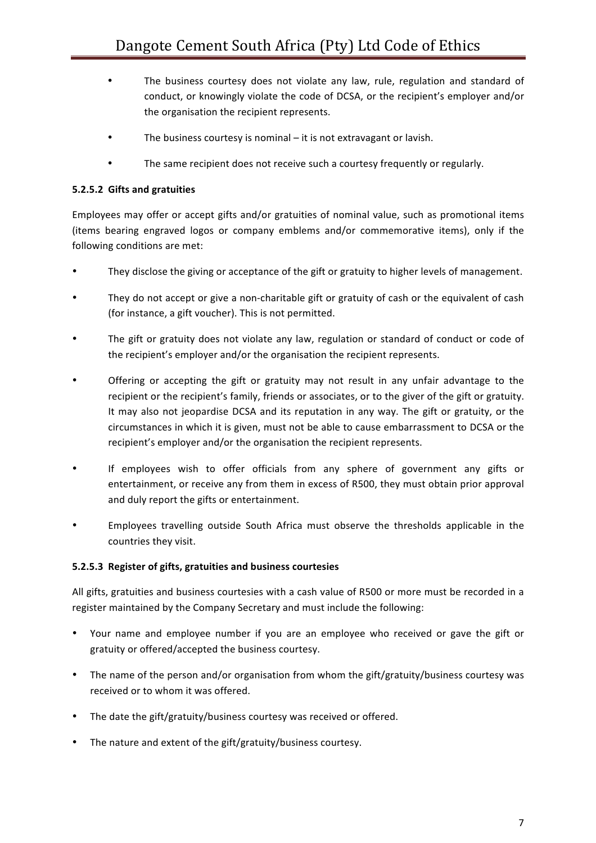- The business courtesy does not violate any law, rule, regulation and standard of conduct, or knowingly violate the code of DCSA, or the recipient's employer and/or the organisation the recipient represents.
- The business courtesy is nominal  $-$  it is not extravagant or lavish.
- The same recipient does not receive such a courtesy frequently or regularly.

# **5.2.5.2 Gifts and gratuities**

Employees may offer or accept gifts and/or gratuities of nominal value, such as promotional items (items bearing engraved logos or company emblems and/or commemorative items), only if the following conditions are met:

- They disclose the giving or acceptance of the gift or gratuity to higher levels of management.
- They do not accept or give a non-charitable gift or gratuity of cash or the equivalent of cash (for instance, a gift voucher). This is not permitted.
- The gift or gratuity does not violate any law, regulation or standard of conduct or code of the recipient's employer and/or the organisation the recipient represents.
- Offering or accepting the gift or gratuity may not result in any unfair advantage to the recipient or the recipient's family, friends or associates, or to the giver of the gift or gratuity. It may also not jeopardise DCSA and its reputation in any way. The gift or gratuity, or the circumstances in which it is given, must not be able to cause embarrassment to DCSA or the recipient's employer and/or the organisation the recipient represents.
- If employees wish to offer officials from any sphere of government any gifts or entertainment, or receive any from them in excess of R500, they must obtain prior approval and duly report the gifts or entertainment.
- Employees travelling outside South Africa must observe the thresholds applicable in the countries they visit.

#### **5.2.5.3 Register of gifts, gratuities and business courtesies**

All gifts, gratuities and business courtesies with a cash value of R500 or more must be recorded in a register maintained by the Company Secretary and must include the following:

- Your name and employee number if you are an employee who received or gave the gift or gratuity or offered/accepted the business courtesy.
- The name of the person and/or organisation from whom the gift/gratuity/business courtesy was received or to whom it was offered.
- The date the gift/gratuity/business courtesy was received or offered.
- The nature and extent of the gift/gratuity/business courtesy.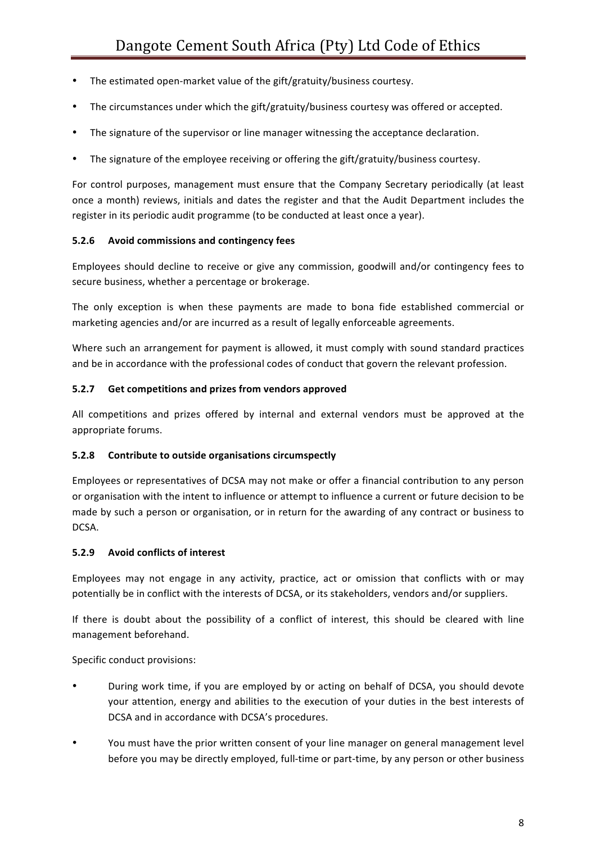- The estimated open-market value of the gift/gratuity/business courtesy.
- The circumstances under which the gift/gratuity/business courtesy was offered or accepted.
- The signature of the supervisor or line manager witnessing the acceptance declaration.
- The signature of the employee receiving or offering the gift/gratuity/business courtesy.

For control purposes, management must ensure that the Company Secretary periodically (at least once a month) reviews, initials and dates the register and that the Audit Department includes the register in its periodic audit programme (to be conducted at least once a year).

# **5.2.6** Avoid commissions and contingency fees

Employees should decline to receive or give any commission, goodwill and/or contingency fees to secure business, whether a percentage or brokerage.

The only exception is when these payments are made to bona fide established commercial or marketing agencies and/or are incurred as a result of legally enforceable agreements.

Where such an arrangement for payment is allowed, it must comply with sound standard practices and be in accordance with the professional codes of conduct that govern the relevant profession.

# **5.2.7** Get competitions and prizes from vendors approved

All competitions and prizes offered by internal and external vendors must be approved at the appropriate forums.

# **5.2.8** Contribute to outside organisations circumspectly

Employees or representatives of DCSA may not make or offer a financial contribution to any person or organisation with the intent to influence or attempt to influence a current or future decision to be made by such a person or organisation, or in return for the awarding of any contract or business to DCSA. 

# **5.2.9** Avoid conflicts of interest

Employees may not engage in any activity, practice, act or omission that conflicts with or may potentially be in conflict with the interests of DCSA, or its stakeholders, vendors and/or suppliers.

If there is doubt about the possibility of a conflict of interest, this should be cleared with line management beforehand.

Specific conduct provisions:

- During work time, if you are employed by or acting on behalf of DCSA, you should devote your attention, energy and abilities to the execution of your duties in the best interests of DCSA and in accordance with DCSA's procedures.
- You must have the prior written consent of your line manager on general management level before you may be directly employed, full-time or part-time, by any person or other business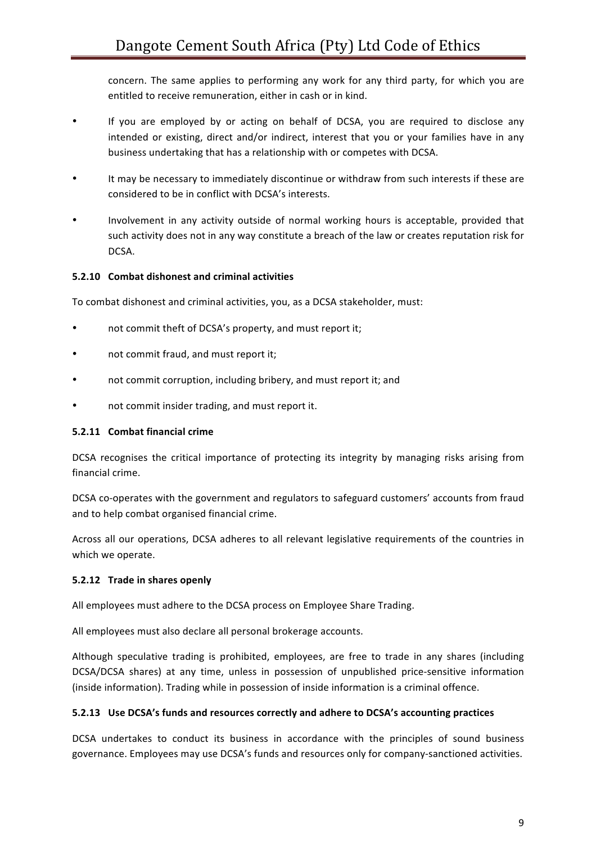concern. The same applies to performing any work for any third party, for which you are entitled to receive remuneration, either in cash or in kind.

- If you are employed by or acting on behalf of DCSA, you are required to disclose any intended or existing, direct and/or indirect, interest that you or your families have in any business undertaking that has a relationship with or competes with DCSA.
- It may be necessary to immediately discontinue or withdraw from such interests if these are considered to be in conflict with DCSA's interests.
- Involvement in any activity outside of normal working hours is acceptable, provided that such activity does not in any way constitute a breach of the law or creates reputation risk for DCSA.

# **5.2.10 Combat dishonest and criminal activities**

To combat dishonest and criminal activities, you, as a DCSA stakeholder, must:

- not commit theft of DCSA's property, and must report it;
- not commit fraud, and must report it;
- not commit corruption, including bribery, and must report it; and
- not commit insider trading, and must report it.

#### **5.2.11 Combat financial crime**

DCSA recognises the critical importance of protecting its integrity by managing risks arising from financial crime.

DCSA co-operates with the government and regulators to safeguard customers' accounts from fraud and to help combat organised financial crime.

Across all our operations, DCSA adheres to all relevant legislative requirements of the countries in which we operate.

#### **5.2.12** Trade in shares openly

All employees must adhere to the DCSA process on Employee Share Trading.

All employees must also declare all personal brokerage accounts.

Although speculative trading is prohibited, employees, are free to trade in any shares (including DCSA/DCSA shares) at any time, unless in possession of unpublished price-sensitive information (inside information). Trading while in possession of inside information is a criminal offence.

#### **5.2.13** Use DCSA's funds and resources correctly and adhere to DCSA's accounting practices

DCSA undertakes to conduct its business in accordance with the principles of sound business governance. Employees may use DCSA's funds and resources only for company-sanctioned activities.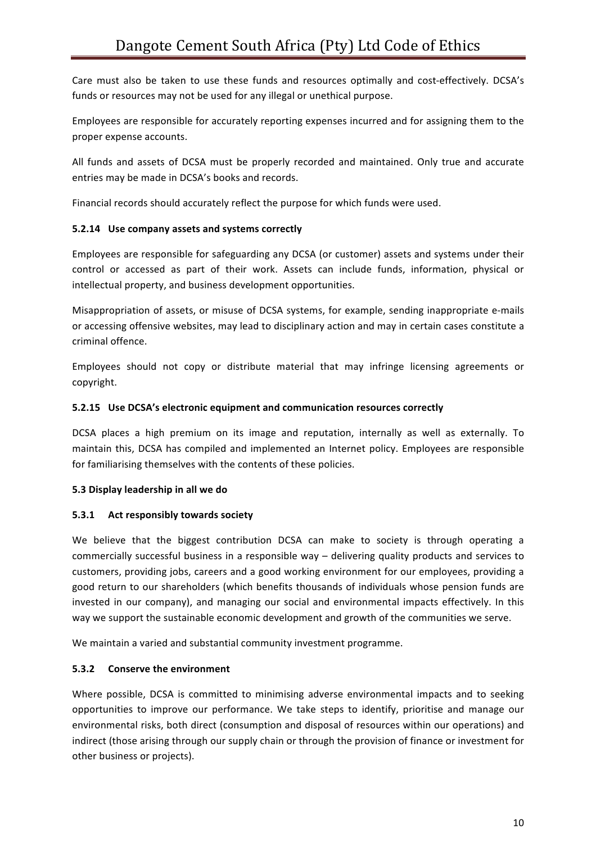Care must also be taken to use these funds and resources optimally and cost-effectively. DCSA's funds or resources may not be used for any illegal or unethical purpose.

Employees are responsible for accurately reporting expenses incurred and for assigning them to the proper expense accounts.

All funds and assets of DCSA must be properly recorded and maintained. Only true and accurate entries may be made in DCSA's books and records.

Financial records should accurately reflect the purpose for which funds were used.

# **5.2.14** Use company assets and systems correctly

Employees are responsible for safeguarding any DCSA (or customer) assets and systems under their control or accessed as part of their work. Assets can include funds, information, physical or intellectual property, and business development opportunities.

Misappropriation of assets, or misuse of DCSA systems, for example, sending inappropriate e-mails or accessing offensive websites, may lead to disciplinary action and may in certain cases constitute a criminal offence. 

Employees should not copy or distribute material that may infringe licensing agreements or copyright. 

# **5.2.15** Use DCSA's electronic equipment and communication resources correctly

DCSA places a high premium on its image and reputation, internally as well as externally. To maintain this, DCSA has compiled and implemented an Internet policy. Employees are responsible for familiarising themselves with the contents of these policies.

#### **5.3 Display leadership in all we do**

# **5.3.1** Act responsibly towards society

We believe that the biggest contribution DCSA can make to society is through operating a commercially successful business in a responsible way - delivering quality products and services to customers, providing jobs, careers and a good working environment for our employees, providing a good return to our shareholders (which benefits thousands of individuals whose pension funds are invested in our company), and managing our social and environmental impacts effectively. In this way we support the sustainable economic development and growth of the communities we serve.

We maintain a varied and substantial community investment programme.

# **5.3.2** Conserve the environment

Where possible, DCSA is committed to minimising adverse environmental impacts and to seeking opportunities to improve our performance. We take steps to identify, prioritise and manage our environmental risks, both direct (consumption and disposal of resources within our operations) and indirect (those arising through our supply chain or through the provision of finance or investment for other business or projects).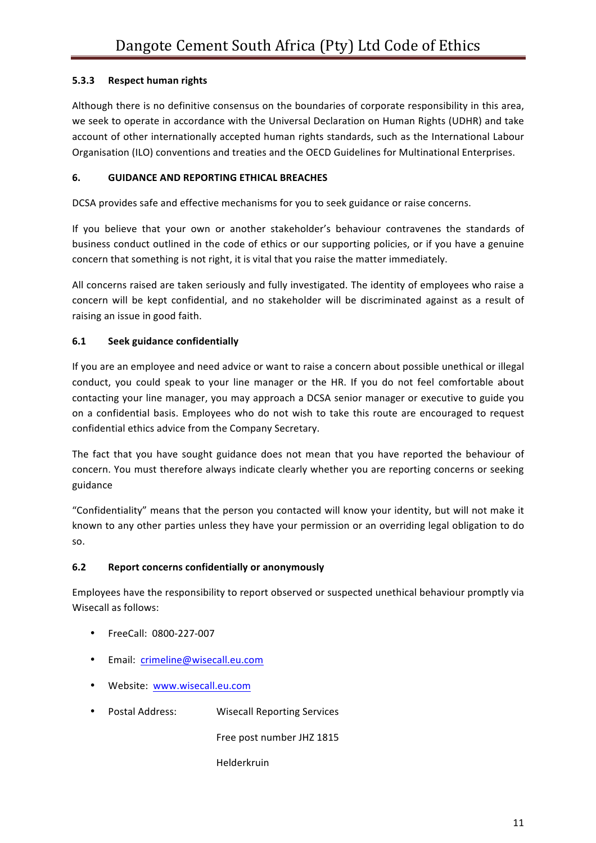# **5.3.3** Respect human rights

Although there is no definitive consensus on the boundaries of corporate responsibility in this area, we seek to operate in accordance with the Universal Declaration on Human Rights (UDHR) and take account of other internationally accepted human rights standards, such as the International Labour Organisation (ILO) conventions and treaties and the OECD Guidelines for Multinational Enterprises.

# **6. GUIDANCE AND REPORTING ETHICAL BREACHES**

DCSA provides safe and effective mechanisms for you to seek guidance or raise concerns.

If you believe that your own or another stakeholder's behaviour contravenes the standards of business conduct outlined in the code of ethics or our supporting policies, or if you have a genuine concern that something is not right, it is vital that you raise the matter immediately.

All concerns raised are taken seriously and fully investigated. The identity of employees who raise a concern will be kept confidential, and no stakeholder will be discriminated against as a result of raising an issue in good faith.

# **6.1** Seek guidance confidentially

If you are an employee and need advice or want to raise a concern about possible unethical or illegal conduct, you could speak to your line manager or the HR. If you do not feel comfortable about contacting your line manager, you may approach a DCSA senior manager or executive to guide you on a confidential basis. Employees who do not wish to take this route are encouraged to request confidential ethics advice from the Company Secretary.

The fact that you have sought guidance does not mean that you have reported the behaviour of concern. You must therefore always indicate clearly whether you are reporting concerns or seeking guidance 

"Confidentiality" means that the person you contacted will know your identity, but will not make it known to any other parties unless they have your permission or an overriding legal obligation to do so.

# **6.2** Report concerns confidentially or anonymously

Employees have the responsibility to report observed or suspected unethical behaviour promptly via Wisecall as follows:

- FreeCall: 0800-227-007
- Email: crimeline@wisecall.eu.com
- Website: www.wisecall.eu.com
- Postal Address: Wisecall Reporting Services

Free post number JHZ 1815

Helderkruin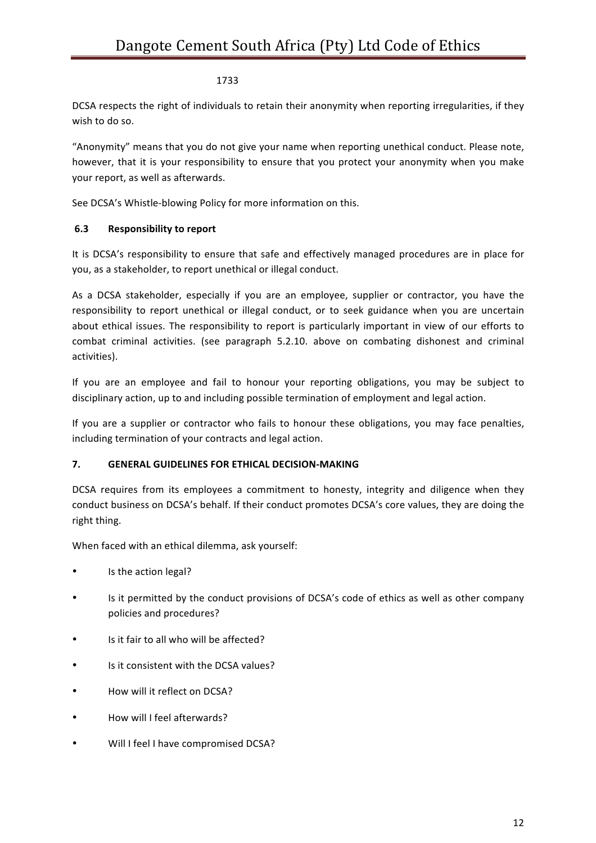# 1733

DCSA respects the right of individuals to retain their anonymity when reporting irregularities, if they wish to do so.

"Anonymity" means that you do not give your name when reporting unethical conduct. Please note, however, that it is your responsibility to ensure that you protect your anonymity when you make your report, as well as afterwards.

See DCSA's Whistle-blowing Policy for more information on this.

# **6.3** Responsibility to report

It is DCSA's responsibility to ensure that safe and effectively managed procedures are in place for you, as a stakeholder, to report unethical or illegal conduct.

As a DCSA stakeholder, especially if you are an employee, supplier or contractor, you have the responsibility to report unethical or illegal conduct, or to seek guidance when you are uncertain about ethical issues. The responsibility to report is particularly important in view of our efforts to combat criminal activities. (see paragraph 5.2.10. above on combating dishonest and criminal activities). 

If you are an employee and fail to honour your reporting obligations, you may be subject to disciplinary action, up to and including possible termination of employment and legal action.

If you are a supplier or contractor who fails to honour these obligations, you may face penalties, including termination of your contracts and legal action.

#### **7. GENERAL GUIDELINES FOR ETHICAL DECISION-MAKING**

DCSA requires from its employees a commitment to honesty, integrity and diligence when they conduct business on DCSA's behalf. If their conduct promotes DCSA's core values, they are doing the right thing.

When faced with an ethical dilemma, ask yourself:

- Is the action legal?
- Is it permitted by the conduct provisions of DCSA's code of ethics as well as other company policies and procedures?
- Is it fair to all who will be affected?
- Is it consistent with the DCSA values?
- How will it reflect on DCSA?
- How will I feel afterwards?
- Will I feel I have compromised DCSA?